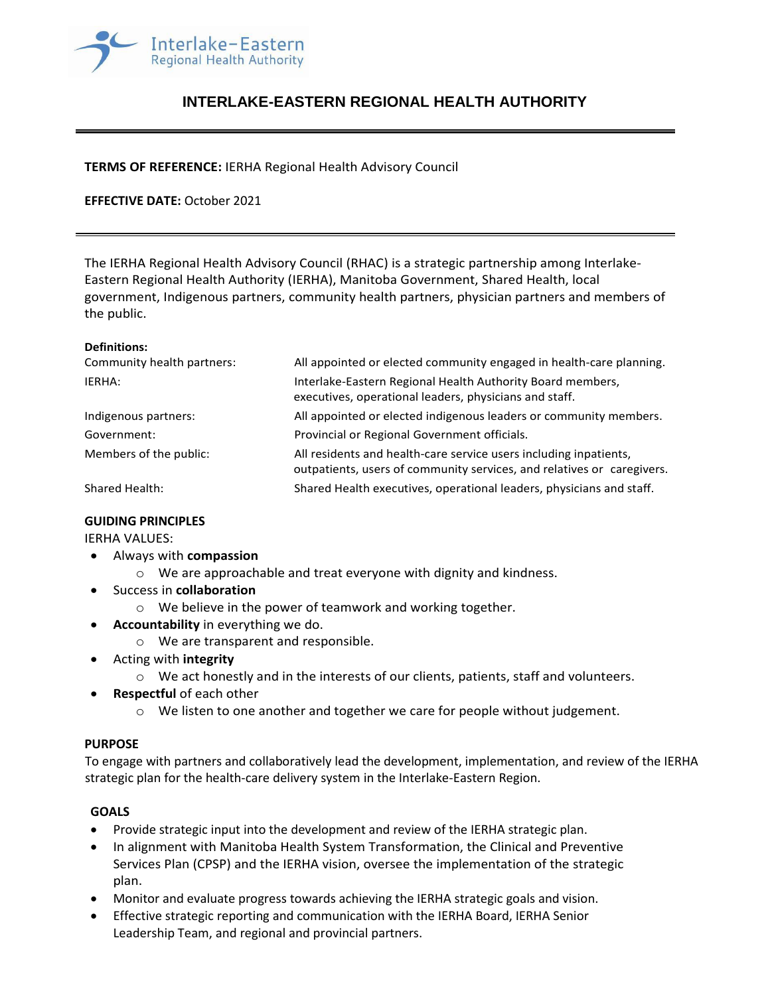

# **INTERLAKE-EASTERN REGIONAL HEALTH AUTHORITY**

## **TERMS OF REFERENCE:** IERHA Regional Health Advisory Council

## **EFFECTIVE DATE:** October 2021

The IERHA Regional Health Advisory Council (RHAC) is a strategic partnership among Interlake-Eastern Regional Health Authority (IERHA), Manitoba Government, Shared Health, local government, Indigenous partners, community health partners, physician partners and members of the public.

#### **Definitions:**

| Community health partners: | All appointed or elected community engaged in health-care planning.                                                                         |
|----------------------------|---------------------------------------------------------------------------------------------------------------------------------------------|
| IERHA:                     | Interlake-Eastern Regional Health Authority Board members,<br>executives, operational leaders, physicians and staff.                        |
| Indigenous partners:       | All appointed or elected indigenous leaders or community members.                                                                           |
| Government:                | Provincial or Regional Government officials.                                                                                                |
| Members of the public:     | All residents and health-care service users including inpatients,<br>outpatients, users of community services, and relatives or caregivers. |
| Shared Health:             | Shared Health executives, operational leaders, physicians and staff.                                                                        |

#### **GUIDING PRINCIPLES**

IERHA VALUES:

- Always with **compassion**
	- o We are approachable and treat everyone with dignity and kindness.
- Success in **collaboration**
	- o We believe in the power of teamwork and working together.
- **Accountability** in everything we do.
	- o We are transparent and responsible.
- Acting with **integrity**
	- $\circ$  We act honestly and in the interests of our clients, patients, staff and volunteers.
- **Respectful** of each other
	- $\circ$  We listen to one another and together we care for people without judgement.

#### **PURPOSE**

To engage with partners and collaboratively lead the development, implementation, and review of the IERHA strategic plan for the health-care delivery system in the Interlake-Eastern Region.

#### **GOALS**

- Provide strategic input into the development and review of the IERHA strategic plan.
- In alignment with Manitoba Health System Transformation, the Clinical and Preventive Services Plan (CPSP) and the IERHA vision, oversee the implementation of the strategic plan.
- Monitor and evaluate progress towards achieving the IERHA strategic goals and vision.
- Effective strategic reporting and communication with the IERHA Board, IERHA Senior Leadership Team, and regional and provincial partners.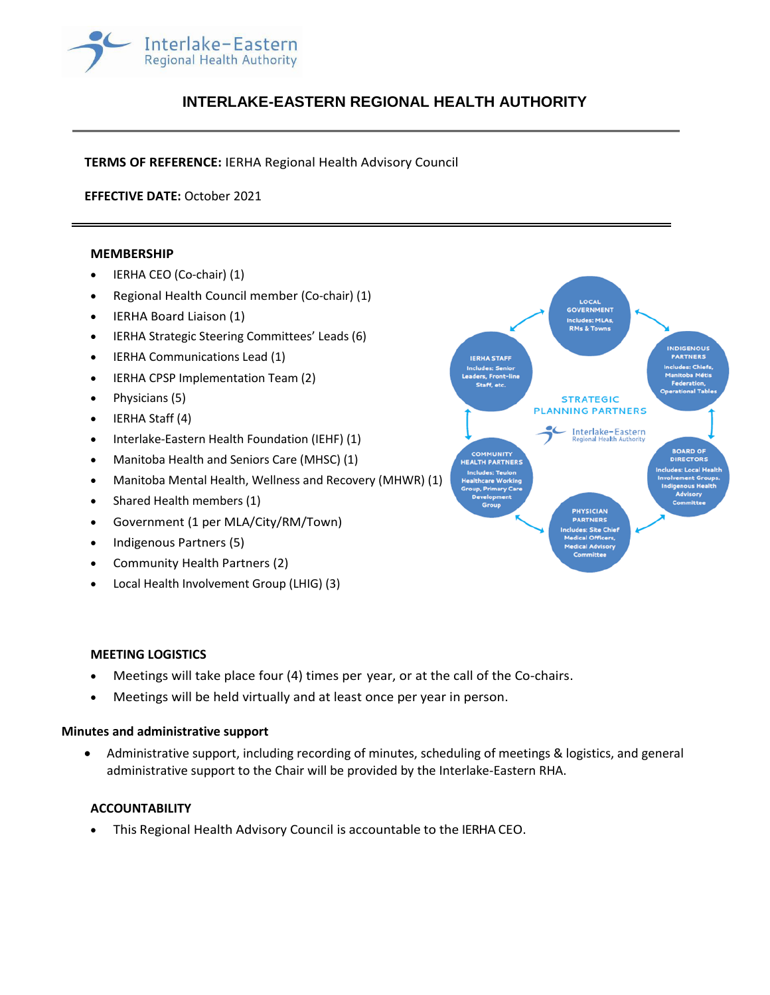

# **INTERLAKE-EASTERN REGIONAL HEALTH AUTHORITY**

**TERMS OF REFERENCE:** IERHA Regional Health Advisory Council

**EFFECTIVE DATE:** October 2021

#### **MEMBERSHIP**

- IERHA CEO (Co-chair) (1)
- Regional Health Council member (Co-chair) (1)
- IERHA Board Liaison (1)
- IERHA Strategic Steering Committees' Leads (6)
- IERHA Communications Lead (1)
- IERHA CPSP Implementation Team (2)
- Physicians (5)
- IERHA Staff (4)
- Interlake-Eastern Health Foundation (IEHF) (1)
- Manitoba Health and Seniors Care (MHSC) (1)
- Manitoba Mental Health, Wellness and Recovery (MHWR) (1)
- Shared Health members (1)
- Government (1 per MLA/City/RM/Town)
- Indigenous Partners (5)
- Community Health Partners (2)
- Local Health Involvement Group (LHIG) (3)



#### **MEETING LOGISTICS**

- Meetings will take place four (4) times per year, or at the call of the Co-chairs.
- Meetings will be held virtually and at least once per year in person.

#### **Minutes and administrative support**

• Administrative support, including recording of minutes, scheduling of meetings & logistics, and general administrative support to the Chair will be provided by the Interlake-Eastern RHA.

#### **ACCOUNTABILITY**

• This Regional Health Advisory Council is accountable to the IERHA CEO.